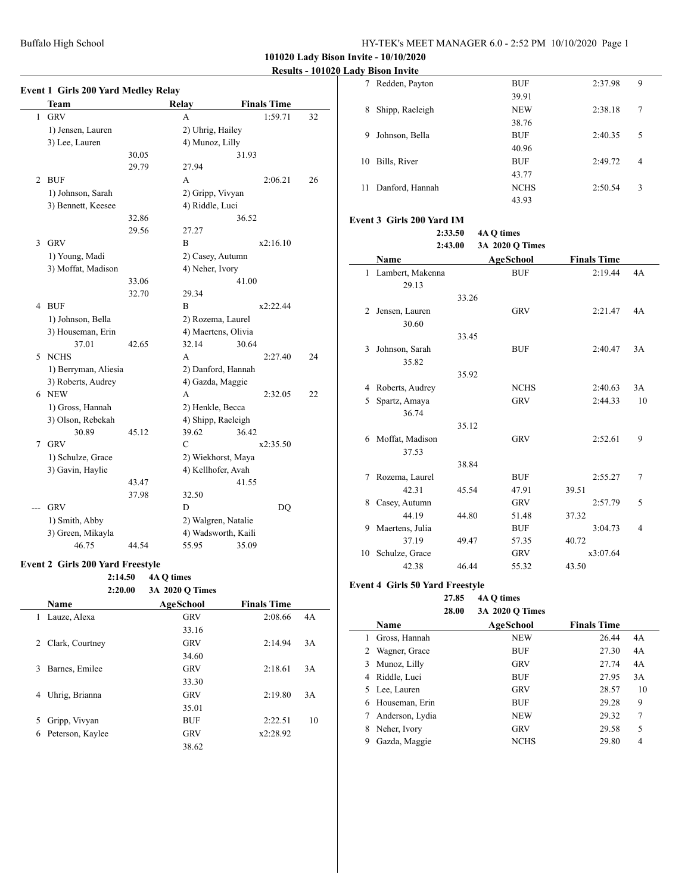## **101020 Lady Bison Invite - 10/10/2020**

## **Results - 101020 Lady Bison Invite**

|   | <b>Event 1 Girls 200 Yard Medley Relay</b> |       |                     |                    |    |
|---|--------------------------------------------|-------|---------------------|--------------------|----|
|   | Team                                       |       | Relay               | <b>Finals Time</b> |    |
| 1 | <b>GRV</b>                                 |       | A                   | 1:59.71            | 32 |
|   | 1) Jensen, Lauren                          |       | 2) Uhrig, Hailey    |                    |    |
|   | 3) Lee, Lauren                             |       | 4) Munoz, Lilly     |                    |    |
|   |                                            | 30.05 |                     | 31.93              |    |
|   |                                            | 29.79 | 27.94               |                    |    |
| 2 | <b>BUF</b>                                 |       | A                   | 2:06.21            | 26 |
|   | 1) Johnson, Sarah                          |       | 2) Gripp, Vivyan    |                    |    |
|   | 3) Bennett, Keesee                         |       | 4) Riddle, Luci     |                    |    |
|   |                                            | 32.86 |                     | 36.52              |    |
|   |                                            | 29.56 | 27.27               |                    |    |
| 3 | <b>GRV</b>                                 |       | B                   | x2:16.10           |    |
|   | 1) Young, Madi                             |       | 2) Casey, Autumn    |                    |    |
|   | 3) Moffat, Madison                         |       | 4) Neher, Ivory     |                    |    |
|   |                                            | 33.06 |                     | 41.00              |    |
|   |                                            | 32.70 | 29.34               |                    |    |
| 4 | <b>BUF</b>                                 |       | B                   | x2:22.44           |    |
|   | 1) Johnson, Bella                          |       | 2) Rozema, Laurel   |                    |    |
|   | 3) Houseman, Erin                          |       | 4) Maertens, Olivia |                    |    |
|   | 37.01                                      | 42.65 | 32.14               | 30.64              |    |
| 5 | <b>NCHS</b>                                |       | A                   | 2:27.40            | 24 |
|   | 1) Berryman, Aliesia                       |       | 2) Danford, Hannah  |                    |    |
|   | 3) Roberts, Audrey                         |       | 4) Gazda, Maggie    |                    |    |
|   | 6 NEW                                      |       | A                   | 2:32.05            | 22 |
|   | 1) Gross, Hannah                           |       | 2) Henkle, Becca    |                    |    |
|   | 3) Olson, Rebekah                          |       | 4) Shipp, Raeleigh  |                    |    |
|   | 30.89                                      | 45.12 | 39.62               | 36.42              |    |
| 7 | <b>GRV</b>                                 |       | $\overline{C}$      | x2:35.50           |    |
|   | 1) Schulze, Grace                          |       | 2) Wiekhorst, Maya  |                    |    |
|   | 3) Gavin, Haylie                           |       | 4) Kellhofer, Avah  |                    |    |
|   |                                            | 43.47 |                     | 41.55              |    |
|   |                                            | 37.98 | 32.50               |                    |    |
|   | <b>GRV</b>                                 |       | D                   | DQ                 |    |
|   | 1) Smith, Abby                             |       | 2) Walgren, Natalie |                    |    |
|   | 3) Green, Mikayla                          |       | 4) Wadsworth, Kaili |                    |    |
|   | 46.75                                      | 44.54 | 55.95               | 35.09              |    |

## **Event 2 Girls 200 Yard Freestyle**

## **2:14.50 4A Q times**

|   | 2:20.00          | 3A 2020 Q Times |                    |    |
|---|------------------|-----------------|--------------------|----|
|   | <b>Name</b>      | AgeSchool       | <b>Finals Time</b> |    |
| 1 | Lauze, Alexa     | <b>GRV</b>      | 2:08.66            | 4A |
|   |                  | 33.16           |                    |    |
| 2 | Clark, Courtney  | <b>GRV</b>      | 2:14.94            | 3A |
|   |                  | 34.60           |                    |    |
| 3 | Barnes, Emilee   | <b>GRV</b>      | 2:18.61            | 3A |
|   |                  | 33.30           |                    |    |
| 4 | Uhrig, Brianna   | <b>GRV</b>      | 2:19.80            | 3A |
|   |                  | 35.01           |                    |    |
|   | 5 Gripp, Vivyan  | <b>BUF</b>      | 2:22.51            | 10 |
| 6 | Peterson, Kaylee | <b>GRV</b>      | x2:28.92           |    |
|   |                  | 38.62           |                    |    |

|    | $\cdots$        |             |         |                |
|----|-----------------|-------------|---------|----------------|
| 7  | Redden, Payton  | <b>BUF</b>  | 2:37.98 | 9              |
|    |                 | 39.91       |         |                |
| 8  | Shipp, Raeleigh | <b>NEW</b>  | 2:38.18 | 7              |
|    |                 | 38.76       |         |                |
| 9  | Johnson, Bella  | <b>BUF</b>  | 2:40.35 | 5              |
|    |                 | 40.96       |         |                |
| 10 | Bills, River    | <b>BUF</b>  | 2:49.72 | $\overline{4}$ |
|    |                 | 43.77       |         |                |
| 11 | Danford, Hannah | <b>NCHS</b> | 2:50.54 | 3              |
|    |                 | 43.93       |         |                |

#### **Event 3 Girls 200 Yard IM**

|              |                  | 2:33.50 | 4A Q times       |                    |    |
|--------------|------------------|---------|------------------|--------------------|----|
|              |                  | 2:43.00 | 3A 2020 Q Times  |                    |    |
|              | Name             |         | <b>AgeSchool</b> | <b>Finals Time</b> |    |
| $\mathbf{1}$ | Lambert, Makenna |         | <b>BUF</b>       | 2:19.44            | 4A |
|              | 29.13            |         |                  |                    |    |
|              |                  | 33.26   |                  |                    |    |
| 2            | Jensen, Lauren   |         | <b>GRV</b>       | 2:21.47            | 4A |
|              | 30.60            |         |                  |                    |    |
|              |                  | 33.45   |                  |                    |    |
| 3            | Johnson, Sarah   |         | <b>BUF</b>       | 2:40.47            | 3A |
|              | 35.82            |         |                  |                    |    |
|              |                  | 35.92   |                  |                    |    |
| 4            | Roberts, Audrey  |         | <b>NCHS</b>      | 2:40.63            | 3A |
| 5            | Spartz, Amaya    |         | <b>GRV</b>       | 2:44.33            | 10 |
|              | 36.74            |         |                  |                    |    |
|              |                  | 35.12   |                  |                    |    |
| 6            | Moffat, Madison  |         | <b>GRV</b>       | 2:52.61            | 9  |
|              | 37.53            |         |                  |                    |    |
|              |                  | 38.84   |                  |                    |    |
| 7            | Rozema, Laurel   |         | <b>BUF</b>       | 2:55.27            | 7  |
|              | 42.31            | 45.54   | 47.91            | 39.51              |    |
| 8            | Casey, Autumn    |         | <b>GRV</b>       | 2:57.79            | 5  |
|              | 44.19            | 44.80   | 51.48            | 37.32              |    |
| 9            | Maertens, Julia  |         | <b>BUF</b>       | 3:04.73            | 4  |
|              | 37.19            | 49.47   | 57.35            | 40.72              |    |
| 10           | Schulze, Grace   |         | <b>GRV</b>       | x3:07.64           |    |
|              | 42.38            | 46.44   | 55.32            | 43.50              |    |

#### **Event 4 Girls 50 Yard Freestyle**

**27.85 4A Q times 28.00 3A 2020 Q Times**

|   |                 | $911.4040 \sqrt{1000}$ |                    |                |
|---|-----------------|------------------------|--------------------|----------------|
|   | Name            | AgeSchool              | <b>Finals Time</b> |                |
|   | Gross, Hannah   | <b>NEW</b>             | 26.44              | 4A             |
|   | 2 Wagner, Grace | <b>BUF</b>             | 27.30              | 4A             |
| 3 | Munoz, Lilly    | <b>GRV</b>             | 27.74              | 4A             |
| 4 | Riddle, Luci    | <b>BUF</b>             | 27.95              | 3A             |
|   | 5 Lee, Lauren   | <b>GRV</b>             | 28.57              | 10             |
| 6 | Houseman, Erin  | <b>BUF</b>             | 29.28              | 9              |
|   | Anderson, Lydia | <b>NEW</b>             | 29.32              | 7              |
| 8 | Neher, Ivory    | <b>GRV</b>             | 29.58              | 5              |
| 9 | Gazda, Maggie   | <b>NCHS</b>            | 29.80              | $\overline{4}$ |
|   |                 |                        |                    |                |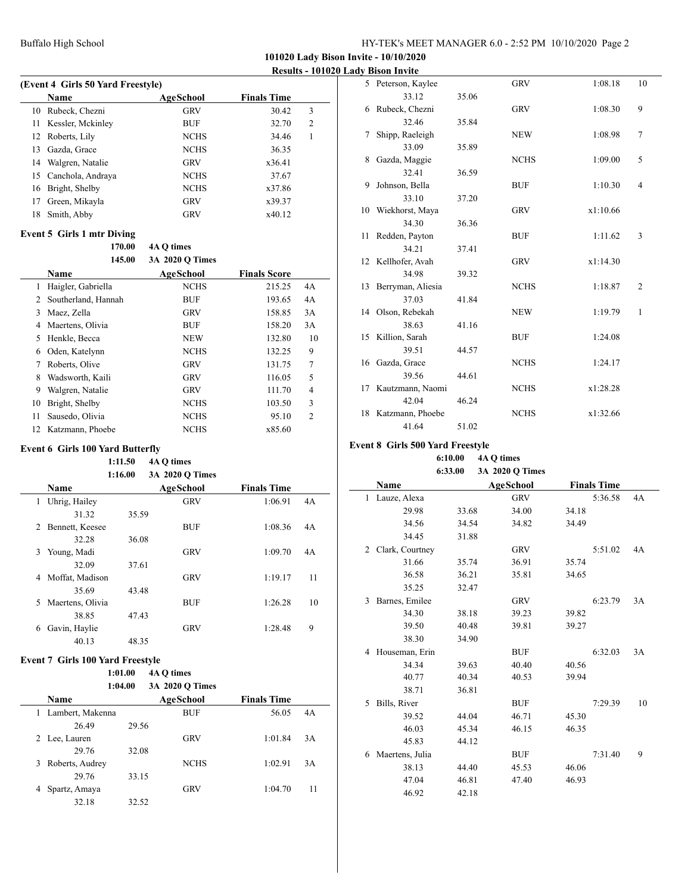## Buffalo High School HY-TEK's MEET MANAGER 6.0 - 2:52 PM 10/10/2020 Page 2

**101020 Lady Bison Invite - 10/10/2020**

**Results - 101020 Lady Bison Invite**

| (Event 4 Girls 50 Yard Freestyle) |                   |             |                    |   |  |
|-----------------------------------|-------------------|-------------|--------------------|---|--|
|                                   | Name              | AgeSchool   | <b>Finals Time</b> |   |  |
| 10                                | Rubeck, Chezni    | <b>GRV</b>  | 30.42              | 3 |  |
| 11                                | Kessler, Mckinley | <b>BUF</b>  | 32.70              | 2 |  |
| 12.                               | Roberts, Lily     | <b>NCHS</b> | 34.46              |   |  |
| 13                                | Gazda, Grace      | <b>NCHS</b> | 36.35              |   |  |
| 14                                | Walgren, Natalie  | GRV         | x36.41             |   |  |
| 15                                | Canchola, Andraya | <b>NCHS</b> | 37.67              |   |  |
| 16                                | Bright, Shelby    | <b>NCHS</b> | x37.86             |   |  |
| 17                                | Green, Mikayla    | <b>GRV</b>  | x39.37             |   |  |
| 18                                | Smith, Abby       | <b>GRV</b>  | x40.12             |   |  |

# **Event 5 Girls 1 mtr Diving**

 $\overline{a}$ 

|    | 170.00<br>145.00    | 4A O times<br>3A 2020 O Times |                     |                |
|----|---------------------|-------------------------------|---------------------|----------------|
|    | Name                | AgeSchool                     | <b>Finals Score</b> |                |
| 1  | Haigler, Gabriella  | <b>NCHS</b>                   | 215.25              | 4A             |
| 2  | Southerland, Hannah | <b>BUF</b>                    | 193.65              | 4A             |
| 3  | Maez, Zella         | <b>GRV</b>                    | 158.85              | 3A             |
| 4  | Maertens, Olivia    | <b>BUF</b>                    | 158.20              | 3A             |
| 5  | Henkle, Becca       | <b>NEW</b>                    | 132.80              | 10             |
| 6  | Oden, Katelynn      | <b>NCHS</b>                   | 132.25              | 9              |
| 7  | Roberts, Olive      | <b>GRV</b>                    | 131.75              | 7              |
| 8  | Wadsworth, Kaili    | <b>GRV</b>                    | 116.05              | 5              |
| 9  | Walgren, Natalie    | <b>GRV</b>                    | 111.70              | 4              |
| 10 | Bright, Shelby      | <b>NCHS</b>                   | 103.50              | 3              |
| 11 | Sausedo, Olivia     | <b>NCHS</b>                   | 95.10               | $\overline{2}$ |
| 12 | Katzmann, Phoebe    | <b>NCHS</b>                   | x85.60              |                |

#### **Event 6 Girls 100 Yard Butterfly**

**1:11.50 4A Q times 1:16.00 3A 2020 Q Times**

| 1:10.00<br><b>JA 2020 V LIMES</b> |                  |       |            |                    |    |  |  |
|-----------------------------------|------------------|-------|------------|--------------------|----|--|--|
|                                   | <b>Name</b>      |       | AgeSchool  | <b>Finals Time</b> |    |  |  |
| 1                                 | Uhrig, Hailey    |       | <b>GRV</b> | 1:06.91            | 4A |  |  |
|                                   | 31.32            | 35.59 |            |                    |    |  |  |
| 2                                 | Bennett, Keesee  |       | <b>BUF</b> | 1:08.36            | 4A |  |  |
|                                   | 32.28            | 36.08 |            |                    |    |  |  |
| 3                                 | Young, Madi      |       | <b>GRV</b> | 1:09.70            | 4A |  |  |
|                                   | 32.09            | 37.61 |            |                    |    |  |  |
| 4                                 | Moffat, Madison  |       | <b>GRV</b> | 1:19.17            | 11 |  |  |
|                                   | 35.69            | 43.48 |            |                    |    |  |  |
| 5.                                | Maertens, Olivia |       | <b>BUF</b> | 1:26.28            | 10 |  |  |
|                                   | 38.85            | 47.43 |            |                    |    |  |  |
| 6                                 | Gavin, Haylie    |       | <b>GRV</b> | 1:28.48            | 9  |  |  |
|                                   | 40.13            | 48.35 |            |                    |    |  |  |

#### **Event 7 Girls 100 Yard Freestyle**

| 1:01.00 | 4A O times      |
|---------|-----------------|
| 1:04.00 | 3A 2020 O Times |

|   | Name              |       | AgeSchool   | <b>Finals Time</b> |    |
|---|-------------------|-------|-------------|--------------------|----|
| 1 | Lambert, Makenna  |       | <b>BUF</b>  | 56.05              | 4A |
|   | 26.49             | 29.56 |             |                    |    |
|   | 2 Lee, Lauren     |       | <b>GRV</b>  | 1:01.84            | 3A |
|   | 29.76             | 32.08 |             |                    |    |
|   | 3 Roberts, Audrey |       | <b>NCHS</b> | 1:02.91            | 3A |
|   | 29.76             | 33.15 |             |                    |    |
| 4 | Spartz, Amaya     |       | <b>GRV</b>  | 1:04.70            | 11 |
|   | 32.18             | 32.52 |             |                    |    |

|    | 5 Peterson, Kaylee  |       | <b>GRV</b>  | 1:08.18  | 10             |
|----|---------------------|-------|-------------|----------|----------------|
|    | 33.12               | 35.06 |             |          |                |
| 6  | Rubeck, Chezni      |       | <b>GRV</b>  | 1:08.30  | 9              |
|    | 32.46               | 35.84 |             |          |                |
| 7  | Shipp, Raeleigh     |       | <b>NEW</b>  | 1:08.98  | $\overline{7}$ |
|    | 33.09               | 35.89 |             |          |                |
| 8  | Gazda, Maggie       |       | <b>NCHS</b> | 1:09.00  | 5              |
|    | 32.41               | 36.59 |             |          |                |
| 9  | Johnson, Bella      |       | <b>BUF</b>  | 1:10.30  | $\overline{4}$ |
|    | 33.10               | 37.20 |             |          |                |
|    | 10 Wiekhorst, Maya  |       | <b>GRV</b>  | x1:10.66 |                |
|    | 34.30               | 36.36 |             |          |                |
| 11 | Redden, Payton      |       | <b>BUF</b>  | 1:11.62  | 3              |
|    | 34.21               | 37.41 |             |          |                |
|    | 12 Kellhofer, Avah  |       | <b>GRV</b>  | x1:14.30 |                |
|    | 34.98               | 39.32 |             |          |                |
| 13 | Berryman, Aliesia   |       | <b>NCHS</b> | 1:18.87  | $\overline{2}$ |
|    | 37.03               | 41.84 |             |          |                |
|    | 14 Olson, Rebekah   |       | <b>NEW</b>  | 1:19.79  | $\mathbf{1}$   |
|    | 38.63               | 41.16 |             |          |                |
|    | 15 Killion, Sarah   |       | <b>BUF</b>  | 1:24.08  |                |
|    | 39.51               | 44.57 |             |          |                |
|    | 16 Gazda, Grace     |       | <b>NCHS</b> | 1:24.17  |                |
|    | 39.56               | 44.61 |             |          |                |
|    | 17 Kautzmann, Naomi |       | <b>NCHS</b> | x1:28.28 |                |
|    | 42.04               | 46.24 |             |          |                |
| 18 | Katzmann, Phoebe    |       | <b>NCHS</b> | x1:32.66 |                |
|    | 41.64               | 51.02 |             |          |                |

## **Event 8 Girls 500 Yard Freestyle**

 $\overline{a}$ 

#### **6:10.00 4A Q times 6:33.00 3A 2020 Q Times**

|   |                 |       | $\frac{1}{2}$    |                    |         |    |
|---|-----------------|-------|------------------|--------------------|---------|----|
|   | Name            |       | <b>AgeSchool</b> | <b>Finals Time</b> |         |    |
| 1 | Lauze, Alexa    |       | <b>GRV</b>       |                    | 5:36.58 | 4A |
|   | 29.98           | 33.68 | 34.00            | 34.18              |         |    |
|   | 34.56           | 34.54 | 34.82            | 34.49              |         |    |
|   | 34.45           | 31.88 |                  |                    |         |    |
| 2 | Clark, Courtney |       | <b>GRV</b>       |                    | 5:51.02 | 4A |
|   | 31.66           | 35.74 | 36.91            | 35.74              |         |    |
|   | 36.58           | 36.21 | 35.81            | 34.65              |         |    |
|   | 35.25           | 32.47 |                  |                    |         |    |
| 3 | Barnes, Emilee  |       | <b>GRV</b>       |                    | 6:23.79 | 3A |
|   | 34.30           | 38.18 | 39.23            | 39.82              |         |    |
|   | 39.50           | 40.48 | 39.81            | 39.27              |         |    |
|   | 38.30           | 34.90 |                  |                    |         |    |
| 4 | Houseman, Erin  |       | <b>BUF</b>       |                    | 6:32.03 | 3A |
|   | 34.34           | 39.63 | 40.40            | 40.56              |         |    |
|   | 40.77           | 40.34 | 40.53            | 39.94              |         |    |
|   | 38.71           | 36.81 |                  |                    |         |    |
| 5 | Bills, River    |       | <b>BUF</b>       |                    | 7:29.39 | 10 |
|   | 39.52           | 44.04 | 46.71            | 45.30              |         |    |
|   | 46.03           | 45.34 | 46.15            | 46.35              |         |    |
|   | 45.83           | 44.12 |                  |                    |         |    |
| 6 | Maertens, Julia |       | <b>BUF</b>       |                    | 7:31.40 | 9  |
|   | 38.13           | 44.40 | 45.53            | 46.06              |         |    |
|   | 47.04           | 46.81 | 47.40            | 46.93              |         |    |
|   | 46.92           | 42.18 |                  |                    |         |    |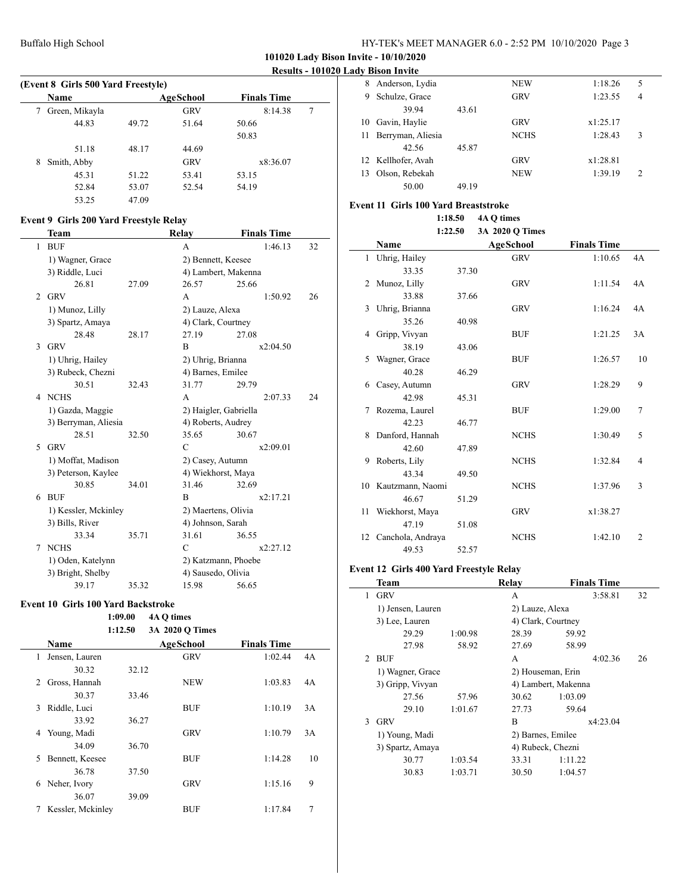## **101020 Lady Bison Invite - 10/10/2020**

## **Results - 101020 Lady Bison Invite**

| (Event 8 Girls 500 Yard Freestyle) |                |       |            |                    |   |  |
|------------------------------------|----------------|-------|------------|--------------------|---|--|
|                                    | Name           |       | AgeSchool  | <b>Finals Time</b> |   |  |
|                                    | Green, Mikayla |       | <b>GRV</b> | 8:14.38            | 7 |  |
|                                    | 44.83          | 49.72 | 51.64      | 50.66              |   |  |
|                                    |                |       |            | 50.83              |   |  |
|                                    | 51.18          | 48.17 | 44.69      |                    |   |  |
| 8                                  | Smith, Abby    |       | <b>GRV</b> | x8:36.07           |   |  |
|                                    | 45.31          | 51.22 | 53.41      | 53.15              |   |  |
|                                    | 52.84          | 53.07 | 52.54      | 54.19              |   |  |
|                                    | 53.25          | 47.09 |            |                    |   |  |

# **Event 9 Girls 200 Yard Freestyle Relay**

|                          | Team                 |       | Relay                 | <b>Finals Time</b> |    |  |
|--------------------------|----------------------|-------|-----------------------|--------------------|----|--|
| 1                        | <b>BUF</b>           |       | A                     | 1:46.13            | 32 |  |
|                          | 1) Wagner, Grace     |       |                       | 2) Bennett, Keesee |    |  |
|                          | 3) Riddle, Luci      |       | 4) Lambert, Makenna   |                    |    |  |
|                          | 26.81                | 27.09 | 26.57                 | 25.66              |    |  |
| $\mathfrak{D}$           | <b>GRV</b>           |       | A                     | 1:50.92            | 26 |  |
|                          | 1) Munoz, Lilly      |       | 2) Lauze, Alexa       |                    |    |  |
|                          | 3) Spartz, Amaya     |       | 4) Clark, Courtney    |                    |    |  |
|                          | 28.48                | 28.17 | 27.19                 | 27.08              |    |  |
| 3                        | <b>GRV</b>           |       | B                     | x2:04.50           |    |  |
|                          | 1) Uhrig, Hailey     |       | 2) Uhrig, Brianna     |                    |    |  |
|                          | 3) Rubeck, Chezni    |       | 4) Barnes, Emilee     |                    |    |  |
|                          | 30.51                | 32.43 | 31.77                 | 29.79              |    |  |
| 4                        | <b>NCHS</b>          |       | A                     | 2:07.33            | 24 |  |
|                          | 1) Gazda, Maggie     |       | 2) Haigler, Gabriella |                    |    |  |
|                          | 3) Berryman, Aliesia |       | 4) Roberts, Audrey    |                    |    |  |
|                          | 28.51                | 32.50 | 35.65                 | 30.67              |    |  |
| $\overline{\phantom{0}}$ | <b>GRV</b>           |       | C                     | x2:09.01           |    |  |
|                          | 1) Moffat, Madison   |       | 2) Casey, Autumn      |                    |    |  |
|                          | 3) Peterson, Kaylee  |       | 4) Wiekhorst, Maya    |                    |    |  |
|                          | 30.85                | 34.01 | 31.46                 | 32.69              |    |  |
| 6                        | <b>BUF</b>           |       | B                     | x2:17.21           |    |  |
|                          | 1) Kessler, Mckinley |       | 2) Maertens, Olivia   |                    |    |  |
|                          | 3) Bills, River      |       | 4) Johnson, Sarah     |                    |    |  |
|                          | 33.34                | 35.71 | 31.61                 | 36.55              |    |  |
| 7                        | <b>NCHS</b>          |       | $\mathcal{C}$         | x2:27.12           |    |  |
|                          | 1) Oden, Katelynn    |       | 2) Katzmann, Phoebe   |                    |    |  |
|                          | 3) Bright, Shelby    |       | 4) Sausedo, Olivia    |                    |    |  |
|                          | 39.17                | 35.32 | 15.98                 | 56.65              |    |  |

#### **Event 10 Girls 100 Yard Backstroke**

 $\overline{a}$ 

## **1:09.00 4A Q times**

|   |                   | 1:12.50 | 3A 2020 O Times |                    |    |
|---|-------------------|---------|-----------------|--------------------|----|
|   | Name              |         | AgeSchool       | <b>Finals Time</b> |    |
| 1 | Jensen, Lauren    |         | <b>GRV</b>      | 1:02.44            | 4A |
|   | 30.32             | 32.12   |                 |                    |    |
| 2 | Gross, Hannah     |         | <b>NEW</b>      | 1:03.83            | 4A |
|   | 30.37             | 33.46   |                 |                    |    |
| 3 | Riddle, Luci      |         | <b>BUF</b>      | 1:10.19            | 3A |
|   | 33.92             | 36.27   |                 |                    |    |
| 4 | Young, Madi       |         | <b>GRV</b>      | 1:10.79            | 3A |
|   | 34.09             | 36.70   |                 |                    |    |
| 5 | Bennett, Keesee   |         | <b>BUF</b>      | 1:14.28            | 10 |
|   | 36.78             | 37.50   |                 |                    |    |
| 6 | Neher, Ivory      |         | <b>GRV</b>      | 1:15.16            | 9  |
|   | 36.07             | 39.09   |                 |                    |    |
|   | Kessler, Mckinley |         | BUF             | 1:17.84            | 7  |

| 8  | Anderson, Lydia    |       | <b>NEW</b>  | 1:18.26  | 5             |  |
|----|--------------------|-------|-------------|----------|---------------|--|
| 9  | Schulze, Grace     |       | <b>GRV</b>  | 1:23.55  | 4             |  |
|    | 39.94              | 43.61 |             |          |               |  |
| 10 | Gavin, Haylie      |       | <b>GRV</b>  | x1:25.17 |               |  |
| 11 | Berryman, Aliesia  |       | <b>NCHS</b> | 1:28.43  | 3             |  |
|    | 42.56              | 45.87 |             |          |               |  |
|    | 12 Kellhofer, Avah |       | <b>GRV</b>  | x1:28.81 |               |  |
| 13 | Olson, Rebekah     |       | <b>NEW</b>  | 1:39.19  | $\mathcal{L}$ |  |
|    | 50.00              | 49.19 |             |          |               |  |

## **Event 11 Girls 100 Yard Breaststroke**

**1:18.50 4A Q times 1:22.50 3A 2020 Q Times**

|    | Name                 |       | <b>AgeSchool</b> | <b>Finals Time</b> |                |
|----|----------------------|-------|------------------|--------------------|----------------|
|    | 1 Uhrig, Hailey      |       | <b>GRV</b>       | 1:10.65            | 4A             |
|    | 33.35                | 37.30 |                  |                    |                |
|    | 2 Munoz, Lilly       |       | <b>GRV</b>       | 1:11.54            | 4A             |
|    | 33.88                | 37.66 |                  |                    |                |
|    | 3 Uhrig, Brianna     |       | <b>GRV</b>       | 1:16.24            | 4A             |
|    | 35.26                | 40.98 |                  |                    |                |
| 4  | Gripp, Vivyan        |       | <b>BUF</b>       | 1:21.25            | 3A             |
|    | 38.19                | 43.06 |                  |                    |                |
| 5  | Wagner, Grace        |       | <b>BUF</b>       | 1:26.57            | 10             |
|    | 40.28                | 46.29 |                  |                    |                |
| 6  | Casey, Autumn        |       | <b>GRV</b>       | 1:28.29            | 9              |
|    | 42.98                | 45.31 |                  |                    |                |
|    | 7 Rozema, Laurel     |       | <b>BUF</b>       | 1:29.00            | 7              |
|    | 42.23                | 46.77 |                  |                    |                |
|    | 8 Danford, Hannah    |       | <b>NCHS</b>      | 1:30.49            | 5              |
|    | 42.60                | 47.89 |                  |                    |                |
| 9  | Roberts, Lily        |       | <b>NCHS</b>      | 1:32.84            | 4              |
|    | 43.34                | 49.50 |                  |                    |                |
|    | 10 Kautzmann, Naomi  |       | <b>NCHS</b>      | 1:37.96            | 3              |
|    | 46.67                | 51.29 |                  |                    |                |
| 11 | Wiekhorst, Maya      |       | <b>GRV</b>       | x1:38.27           |                |
|    | 47.19                | 51.08 |                  |                    |                |
|    | 12 Canchola, Andraya |       | <b>NCHS</b>      | 1:42.10            | $\overline{2}$ |
|    | 49.53                | 52.57 |                  |                    |                |

#### **Event 12 Girls 400 Yard Freestyle Relay**

 $\mathcal{L}$ 

|               | Team              |         | Relay               | <b>Finals Time</b> |    |
|---------------|-------------------|---------|---------------------|--------------------|----|
| 1             | <b>GRV</b>        |         | A                   | 3:58.81            | 32 |
|               | 1) Jensen, Lauren |         | 2) Lauze, Alexa     |                    |    |
|               | 3) Lee, Lauren    |         | 4) Clark, Courtney  |                    |    |
|               | 29.29             | 1:00.98 | 28.39               | 59.92              |    |
|               | 27.98             | 58.92   | 27.69               | 58.99              |    |
| $\mathcal{P}$ | <b>BUF</b>        |         | A                   | 4:02.36            | 26 |
|               | 1) Wagner, Grace  |         | 2) Houseman, Erin   |                    |    |
|               | 3) Gripp, Vivyan  |         | 4) Lambert, Makenna |                    |    |
|               | 27.56             | 57.96   | 30.62               | 1:03.09            |    |
|               | 29.10             | 1:01.67 | 27.73               | 59.64              |    |
| $\mathbf{3}$  | <b>GRV</b>        |         | B                   | x4:23.04           |    |
|               | 1) Young, Madi    |         | 2) Barnes, Emilee   |                    |    |
|               | 3) Spartz, Amaya  |         | 4) Rubeck, Chezni   |                    |    |
|               | 30.77             | 1:03.54 | 33.31               | 1:11.22            |    |
|               | 30.83             | 1:03.71 | 30.50               | 1:04.57            |    |